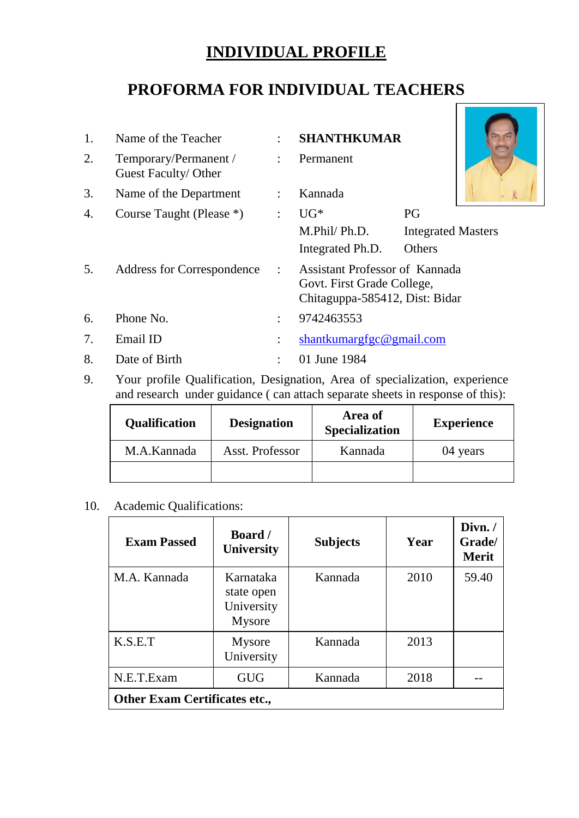## **INDIVIDUAL PROFILE**

# **PROFORMA FOR INDIVIDUAL TEACHERS**

| 1. | Name of the Teacher                           | $\ddot{\cdot}$ | <b>SHANTHKUMAR</b>                                                                             |                           |  |
|----|-----------------------------------------------|----------------|------------------------------------------------------------------------------------------------|---------------------------|--|
| 2. | Temporary/Permanent /<br>Guest Faculty/ Other | $\ddot{\cdot}$ | Permanent                                                                                      |                           |  |
| 3. | Name of the Department                        | $\ddot{\cdot}$ | Kannada                                                                                        |                           |  |
| 4. | Course Taught (Please *)                      | $\ddot{\cdot}$ | $UG^*$                                                                                         | PG                        |  |
|    |                                               |                | M.Phil/Ph.D.                                                                                   | <b>Integrated Masters</b> |  |
|    |                                               |                | Integrated Ph.D.                                                                               | <b>Others</b>             |  |
| 5. | Address for Correspondence                    | $\sim$         | Assistant Professor of Kannada<br>Govt. First Grade College,<br>Chitaguppa-585412, Dist: Bidar |                           |  |
| 6. | Phone No.                                     | $\ddot{\cdot}$ | 9742463553                                                                                     |                           |  |
| 7. | Email ID                                      | $\ddot{\cdot}$ | shantkumargfgc@gmail.com                                                                       |                           |  |
| 8. | Date of Birth                                 |                | 01 June 1984                                                                                   |                           |  |

9. Your profile Qualification, Designation, Area of specialization, experience and research under guidance ( can attach separate sheets in response of this):

| <b>Qualification</b> | <b>Designation</b> | Area of<br><b>Specialization</b> | <b>Experience</b> |  |
|----------------------|--------------------|----------------------------------|-------------------|--|
| M.A.Kannada          | Asst. Professor    | Kannada                          | 04 years          |  |
|                      |                    |                                  |                   |  |

10. Academic Qualifications:

| <b>Exam Passed</b>                   | <b>Board</b> /<br>University                    | <b>Subjects</b> | Year | Divn./<br>Grade/<br><b>Merit</b> |  |
|--------------------------------------|-------------------------------------------------|-----------------|------|----------------------------------|--|
| M.A. Kannada                         | Karnataka<br>state open<br>University<br>Mysore | Kannada         | 2010 | 59.40                            |  |
| K.S.E.T                              | <b>Mysore</b><br>University                     | Kannada         | 2013 |                                  |  |
| N.E.T.Exam                           | <b>GUG</b>                                      | Kannada         | 2018 |                                  |  |
| <b>Other Exam Certificates etc.,</b> |                                                 |                 |      |                                  |  |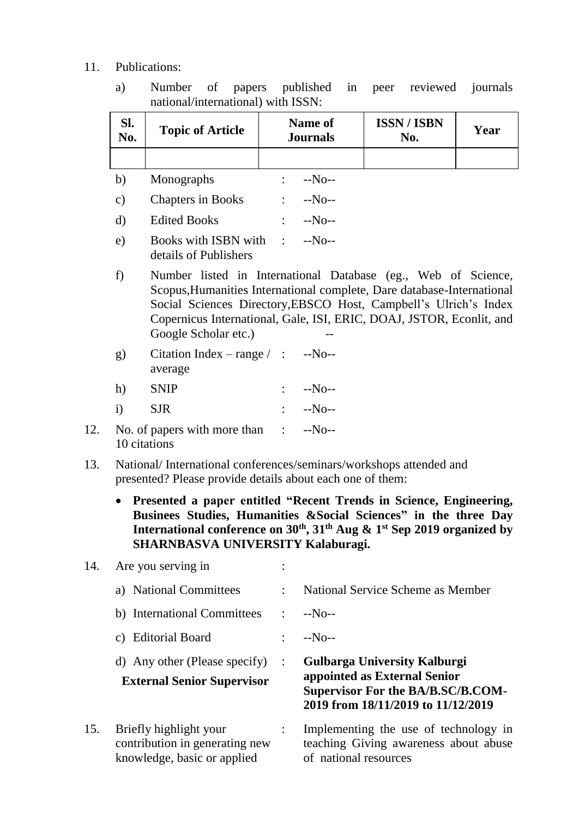#### 11. Publications:

a) Number of papers published in peer reviewed journals national/international) with ISSN:

| Sl.<br>No.                                                                                                                                                                                                                                                                                                        | <b>Topic of Article</b>                                  | <b>Name of</b><br><b>Journals</b> |               | <b>ISSN/ISBN</b><br>No. | Year |
|-------------------------------------------------------------------------------------------------------------------------------------------------------------------------------------------------------------------------------------------------------------------------------------------------------------------|----------------------------------------------------------|-----------------------------------|---------------|-------------------------|------|
|                                                                                                                                                                                                                                                                                                                   |                                                          |                                   |               |                         |      |
| b)                                                                                                                                                                                                                                                                                                                | Monographs                                               | $\mathbb{R}^{\mathbb{Z}}$         | $-No-$        |                         |      |
| $\mathbf{c})$                                                                                                                                                                                                                                                                                                     | Chapters in Books                                        |                                   | $: -N_{0}$ -- |                         |      |
| $\mathbf{d}$                                                                                                                                                                                                                                                                                                      | <b>Edited Books</b>                                      |                                   | $: -N_{0}$ -- |                         |      |
| e)                                                                                                                                                                                                                                                                                                                | Books with ISBN with :<br>details of Publishers          |                                   | $-No-$        |                         |      |
| f)<br>Number listed in International Database (eg., Web of Science,<br>Scopus, Humanities International complete, Dare database-International<br>Social Sciences Directory, EBSCO Host, Campbell's Ulrich's Index<br>Copernicus International, Gale, ISI, ERIC, DOAJ, JSTOR, Econlit, and<br>Google Scholar etc.) |                                                          |                                   |               |                         |      |
| g)                                                                                                                                                                                                                                                                                                                | Citation Index $-\text{range}/\cdot$ : --No--<br>average |                                   |               |                         |      |
| h)                                                                                                                                                                                                                                                                                                                | <b>SNIP</b>                                              |                                   | $: -No-$      |                         |      |
| $\mathbf{i}$                                                                                                                                                                                                                                                                                                      | <b>SJR</b>                                               |                                   | $: -N_{0}$    |                         |      |
|                                                                                                                                                                                                                                                                                                                   | No. of papers with more than : --No--<br>10 citations    |                                   |               |                         |      |
| National/International conferences/seminars/workshops attended and<br>presented? Please provide details about each one of them:                                                                                                                                                                                   |                                                          |                                   |               |                         |      |

 **Presented a paper entitled "Recent Trends in Science, Engineering, Businees Studies, Humanities &Social Sciences" in the three Day International conference on 30th, 31th Aug & 1st Sep 2019 organized by SHARNBASVA UNIVERSITY Kalaburagi.**

#### 14. Are you serving in :

| a) National Committees |                                                                                         | ÷                    | National Service Scheme as Member                                                                                                                     |
|------------------------|-----------------------------------------------------------------------------------------|----------------------|-------------------------------------------------------------------------------------------------------------------------------------------------------|
|                        | b) International Committees                                                             |                      | $\therefore$ --No--                                                                                                                                   |
|                        | c) Editorial Board                                                                      |                      | $-NO-$                                                                                                                                                |
|                        | d) Any other (Please specify)<br><b>External Senior Supervisor</b>                      | $\ddot{\phantom{0}}$ | <b>Gulbarga University Kalburgi</b><br>appointed as External Senior<br><b>Supervisor For the BA/B.SC/B.COM-</b><br>2019 from 18/11/2019 to 11/12/2019 |
| 15.                    | Briefly highlight your<br>contribution in generating new<br>knowledge, basic or applied |                      | Implementing the use of technology in<br>teaching Giving awareness about abuse<br>of national resources                                               |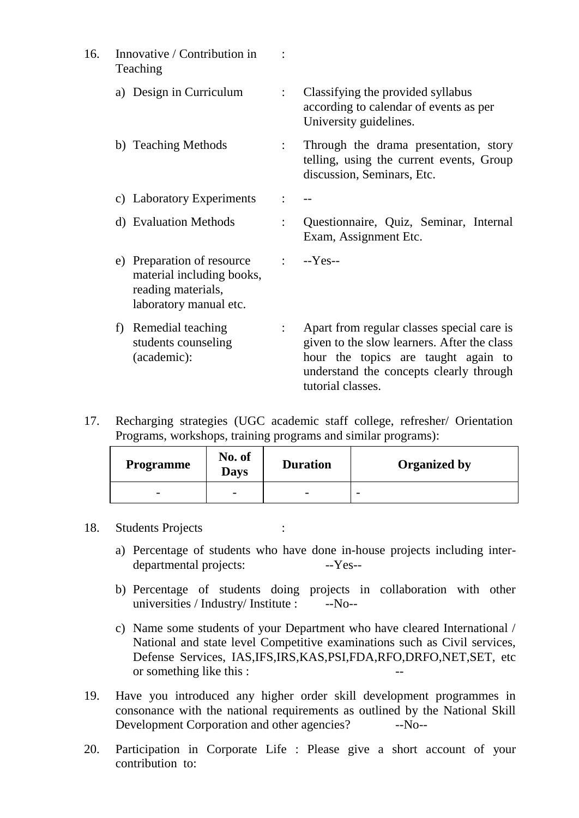| 16. | Innovative / Contribution in<br>Teaching                                                                |                           |                                                                                                                                                                                                  |
|-----|---------------------------------------------------------------------------------------------------------|---------------------------|--------------------------------------------------------------------------------------------------------------------------------------------------------------------------------------------------|
|     | a) Design in Curriculum                                                                                 | $\ddot{\cdot}$            | Classifying the provided syllabus<br>according to calendar of events as per<br>University guidelines.                                                                                            |
|     | b) Teaching Methods                                                                                     | $\mathbb{R}^{\mathbb{Z}}$ | Through the drama presentation, story<br>telling, using the current events, Group<br>discussion, Seminars, Etc.                                                                                  |
|     | c) Laboratory Experiments                                                                               | $\ddot{\phantom{a}}$      | $\sim$ $\sim$                                                                                                                                                                                    |
|     | d) Evaluation Methods                                                                                   | $\ddot{\phantom{a}}$      | Questionnaire, Quiz, Seminar, Internal<br>Exam, Assignment Etc.                                                                                                                                  |
|     | e) Preparation of resource<br>material including books,<br>reading materials,<br>laboratory manual etc. |                           | $\cdot$ --Yes--                                                                                                                                                                                  |
|     | Remedial teaching<br>f)<br>students counseling<br>(academic):                                           | $\mathbb{Z}^{\mathbb{Z}}$ | Apart from regular classes special care is<br>given to the slow learners. After the class<br>hour the topics are taught again to<br>understand the concepts clearly through<br>tutorial classes. |

17. Recharging strategies (UGC academic staff college, refresher/ Orientation Programs, workshops, training programs and similar programs):

| <b>Programme</b>         | No. of<br>Days           | <b>Duration</b> | <b>Organized by</b> |  |  |
|--------------------------|--------------------------|-----------------|---------------------|--|--|
| $\overline{\phantom{0}}$ | $\overline{\phantom{0}}$ | -               | -                   |  |  |

#### 18. Students Projects :

- a) Percentage of students who have done in-house projects including interdepartmental projects: -- Yes--
- b) Percentage of students doing projects in collaboration with other universities / Industry/ Institute : --No--
- c) Name some students of your Department who have cleared International / National and state level Competitive examinations such as Civil services, Defense Services, IAS,IFS,IRS,KAS,PSI,FDA,RFO,DRFO,NET,SET, etc or something like this :
- 19. Have you introduced any higher order skill development programmes in consonance with the national requirements as outlined by the National Skill Development Corporation and other agencies? --No--
- 20. Participation in Corporate Life : Please give a short account of your contribution to: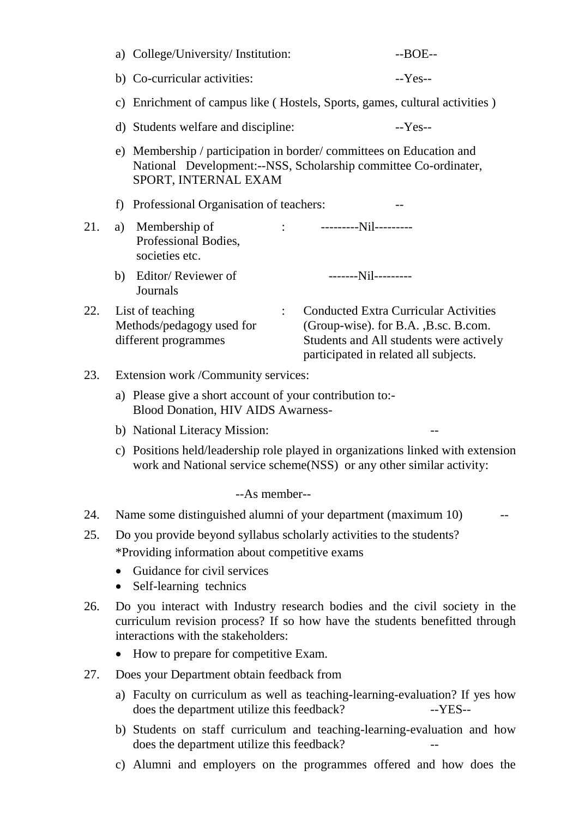|     | a) College/University/ Institution:                                                                                                                                                              | $-BOE-$                                                                                                                                                                  |  |  |  |  |  |
|-----|--------------------------------------------------------------------------------------------------------------------------------------------------------------------------------------------------|--------------------------------------------------------------------------------------------------------------------------------------------------------------------------|--|--|--|--|--|
|     | b) Co-curricular activities:                                                                                                                                                                     | $-Yes-$                                                                                                                                                                  |  |  |  |  |  |
|     | c) Enrichment of campus like (Hostels, Sports, games, cultural activities)                                                                                                                       |                                                                                                                                                                          |  |  |  |  |  |
|     | d) Students welfare and discipline:                                                                                                                                                              | $-Yes-$                                                                                                                                                                  |  |  |  |  |  |
|     | e) Membership / participation in border/committees on Education and<br>National Development:--NSS, Scholarship committee Co-ordinater,<br>SPORT, INTERNAL EXAM                                   |                                                                                                                                                                          |  |  |  |  |  |
|     | Professional Organisation of teachers:<br>f)                                                                                                                                                     |                                                                                                                                                                          |  |  |  |  |  |
| 21. | Membership of<br>a)<br>Professional Bodies,<br>societies etc.                                                                                                                                    |                                                                                                                                                                          |  |  |  |  |  |
|     | Editor/Reviewer of<br>b)<br>Journals                                                                                                                                                             | -------Nil---------                                                                                                                                                      |  |  |  |  |  |
| 22. | List of teaching<br>Methods/pedagogy used for<br>different programmes                                                                                                                            | <b>Conducted Extra Curricular Activities</b><br>(Group-wise). for B.A., B.sc. B.com.<br>Students and All students were actively<br>participated in related all subjects. |  |  |  |  |  |
| 23. | Extension work /Community services:                                                                                                                                                              |                                                                                                                                                                          |  |  |  |  |  |
|     | a) Please give a short account of your contribution to:-<br>Blood Donation, HIV AIDS Awarness-                                                                                                   |                                                                                                                                                                          |  |  |  |  |  |
|     | b) National Literacy Mission:                                                                                                                                                                    |                                                                                                                                                                          |  |  |  |  |  |
|     | c) Positions held/leadership role played in organizations linked with extension<br>work and National service scheme(NSS) or any other similar activity:                                          |                                                                                                                                                                          |  |  |  |  |  |
|     | --As member--                                                                                                                                                                                    |                                                                                                                                                                          |  |  |  |  |  |
| 24. | Name some distinguished alumni of your department (maximum 10)                                                                                                                                   |                                                                                                                                                                          |  |  |  |  |  |
| 25. | Do you provide beyond syllabus scholarly activities to the students?<br>*Providing information about competitive exams                                                                           |                                                                                                                                                                          |  |  |  |  |  |
|     | Guidance for civil services<br>Self-learning technics                                                                                                                                            |                                                                                                                                                                          |  |  |  |  |  |
| 26. | Do you interact with Industry research bodies and the civil society in the<br>curriculum revision process? If so how have the students benefitted through<br>interactions with the stakeholders: |                                                                                                                                                                          |  |  |  |  |  |
|     | How to prepare for competitive Exam.                                                                                                                                                             |                                                                                                                                                                          |  |  |  |  |  |
| 27. | Does your Department obtain feedback from                                                                                                                                                        |                                                                                                                                                                          |  |  |  |  |  |
|     | a) Faculty on curriculum as well as teaching-learning-evaluation? If yes how<br>does the department utilize this feedback?                                                                       | $-YES-$                                                                                                                                                                  |  |  |  |  |  |
|     | b) Students on staff curriculum and teaching-learning-evaluation and how<br>does the department utilize this feedback?                                                                           |                                                                                                                                                                          |  |  |  |  |  |

c) Alumni and employers on the programmes offered and how does the